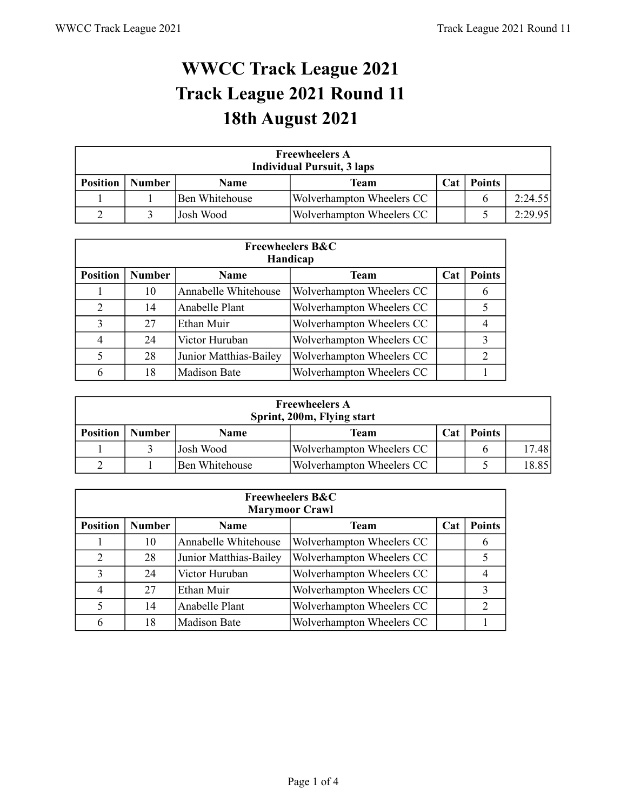## **WWCC Track League 2021 Track League 2021 Round 11 18th August 2021**

| <b>Freewheelers A</b><br><b>Individual Pursuit, 3 laps</b> |                                                              |                |                           |  |  |         |  |
|------------------------------------------------------------|--------------------------------------------------------------|----------------|---------------------------|--|--|---------|--|
| <b>Position</b>                                            | <b>Points</b><br><b>Number</b><br>Cat<br><b>Name</b><br>Team |                |                           |  |  |         |  |
|                                                            |                                                              | Ben Whitehouse | Wolverhampton Wheelers CC |  |  | 2:24.55 |  |
|                                                            |                                                              | Josh Wood      | Wolverhampton Wheelers CC |  |  | 2:29.95 |  |

|                 | <b>Freewheelers B&amp;C</b><br>Handicap |                        |                           |     |               |  |  |  |  |
|-----------------|-----------------------------------------|------------------------|---------------------------|-----|---------------|--|--|--|--|
| <b>Position</b> | <b>Number</b>                           | <b>Name</b>            | <b>Team</b>               | Cat | <b>Points</b> |  |  |  |  |
|                 | 10                                      | Annabelle Whitehouse   | Wolverhampton Wheelers CC |     | 6             |  |  |  |  |
| $\overline{2}$  | 14                                      | Anabelle Plant         | Wolverhampton Wheelers CC |     |               |  |  |  |  |
| 3               | 27                                      | Ethan Muir             | Wolverhampton Wheelers CC |     |               |  |  |  |  |
| 4               | 24                                      | Victor Huruban         | Wolverhampton Wheelers CC |     | 3             |  |  |  |  |
| 5               | 28                                      | Junior Matthias-Bailey | Wolverhampton Wheelers CC |     | $\mathcal{D}$ |  |  |  |  |
| 6               | 18                                      | <b>Madison Bate</b>    | Wolverhampton Wheelers CC |     |               |  |  |  |  |

| <b>Freewheelers A</b><br>Sprint, 200m, Flying start |                                                              |                |                           |  |  |      |  |
|-----------------------------------------------------|--------------------------------------------------------------|----------------|---------------------------|--|--|------|--|
| <b>Position</b>                                     | <b>Points</b><br><b>Number</b><br><b>Name</b><br>Cat<br>Team |                |                           |  |  |      |  |
|                                                     | 17.48<br>Josh Wood<br>Wolverhampton Wheelers CC              |                |                           |  |  |      |  |
|                                                     |                                                              | Ben Whitehouse | Wolverhampton Wheelers CC |  |  | 8.85 |  |

|                 | <b>Freewheelers B&amp;C</b><br><b>Marymoor Crawl</b> |                        |                           |     |                |  |  |  |  |  |
|-----------------|------------------------------------------------------|------------------------|---------------------------|-----|----------------|--|--|--|--|--|
| <b>Position</b> | <b>Number</b>                                        | <b>Name</b>            | <b>Team</b>               | Cat | <b>Points</b>  |  |  |  |  |  |
|                 | 10                                                   | Annabelle Whitehouse   | Wolverhampton Wheelers CC |     | b              |  |  |  |  |  |
| $\overline{2}$  | 28                                                   | Junior Matthias-Bailey | Wolverhampton Wheelers CC |     |                |  |  |  |  |  |
| 3               | 24                                                   | Victor Huruban         | Wolverhampton Wheelers CC |     |                |  |  |  |  |  |
| 4               | 27                                                   | Ethan Muir             | Wolverhampton Wheelers CC |     | 3              |  |  |  |  |  |
| 5               | 14                                                   | Anabelle Plant         | Wolverhampton Wheelers CC |     | $\mathfrak{D}$ |  |  |  |  |  |
| 6               | 18                                                   | <b>Madison Bate</b>    | Wolverhampton Wheelers CC |     |                |  |  |  |  |  |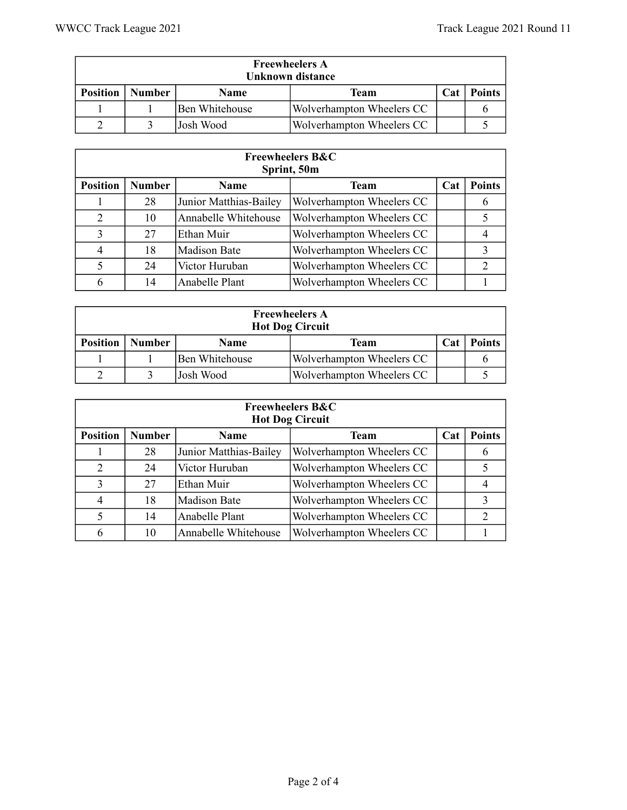| <b>Freewheelers A</b><br>Unknown distance |               |                 |                           |     |               |  |  |  |
|-------------------------------------------|---------------|-----------------|---------------------------|-----|---------------|--|--|--|
| <b>Position</b>                           | <b>Number</b> | Name            | Team                      | Cat | <b>Points</b> |  |  |  |
|                                           |               | lBen Whitehouse | Wolverhampton Wheelers CC |     |               |  |  |  |
|                                           |               | Josh Wood       | Wolverhampton Wheelers CC |     |               |  |  |  |

|                 | <b>Freewheelers B&amp;C</b><br>Sprint, 50m |                        |                           |     |               |  |  |  |  |
|-----------------|--------------------------------------------|------------------------|---------------------------|-----|---------------|--|--|--|--|
| <b>Position</b> | <b>Number</b>                              | <b>Name</b>            | <b>Team</b>               | Cat | <b>Points</b> |  |  |  |  |
|                 | 28                                         | Junior Matthias-Bailey | Wolverhampton Wheelers CC |     | b             |  |  |  |  |
| 2               | 10                                         | Annabelle Whitehouse   | Wolverhampton Wheelers CC |     |               |  |  |  |  |
| 3               | 27                                         | Ethan Muir             | Wolverhampton Wheelers CC |     |               |  |  |  |  |
| 4               | 18                                         | <b>Madison Bate</b>    | Wolverhampton Wheelers CC |     | 3             |  |  |  |  |
| 5               | 24                                         | Victor Huruban         | Wolverhampton Wheelers CC |     | $\mathcal{D}$ |  |  |  |  |
| 6               | 14                                         | Anabelle Plant         | Wolverhampton Wheelers CC |     |               |  |  |  |  |

| <b>Freewheelers A</b><br><b>Hot Dog Circuit</b> |                                                              |                |                           |  |  |  |  |
|-------------------------------------------------|--------------------------------------------------------------|----------------|---------------------------|--|--|--|--|
| <b>Position</b>                                 | <b>Points</b><br><b>Number</b><br>Cat<br><b>Name</b><br>Team |                |                           |  |  |  |  |
|                                                 |                                                              | Ben Whitehouse | Wolverhampton Wheelers CC |  |  |  |  |
|                                                 |                                                              | Josh Wood      | Wolverhampton Wheelers CC |  |  |  |  |

|                 | <b>Freewheelers B&amp;C</b><br><b>Hot Dog Circuit</b> |                        |                                  |     |                |  |  |  |  |  |
|-----------------|-------------------------------------------------------|------------------------|----------------------------------|-----|----------------|--|--|--|--|--|
| <b>Position</b> | <b>Number</b>                                         | <b>Name</b>            | <b>Team</b>                      | Cat | <b>Points</b>  |  |  |  |  |  |
|                 | 28                                                    | Junior Matthias-Bailey | <b>Wolverhampton Wheelers CC</b> |     | O              |  |  |  |  |  |
| $\overline{2}$  | 24                                                    | Victor Huruban         | Wolverhampton Wheelers CC        |     |                |  |  |  |  |  |
| 3               | 27                                                    | Ethan Muir             | Wolverhampton Wheelers CC        |     |                |  |  |  |  |  |
| $\overline{4}$  | 18                                                    | <b>Madison Bate</b>    | Wolverhampton Wheelers CC        |     |                |  |  |  |  |  |
| 5               | 14                                                    | Anabelle Plant         | Wolverhampton Wheelers CC        |     | $\mathfrak{D}$ |  |  |  |  |  |
| 6               | 10                                                    | Annabelle Whitehouse   | Wolverhampton Wheelers CC        |     |                |  |  |  |  |  |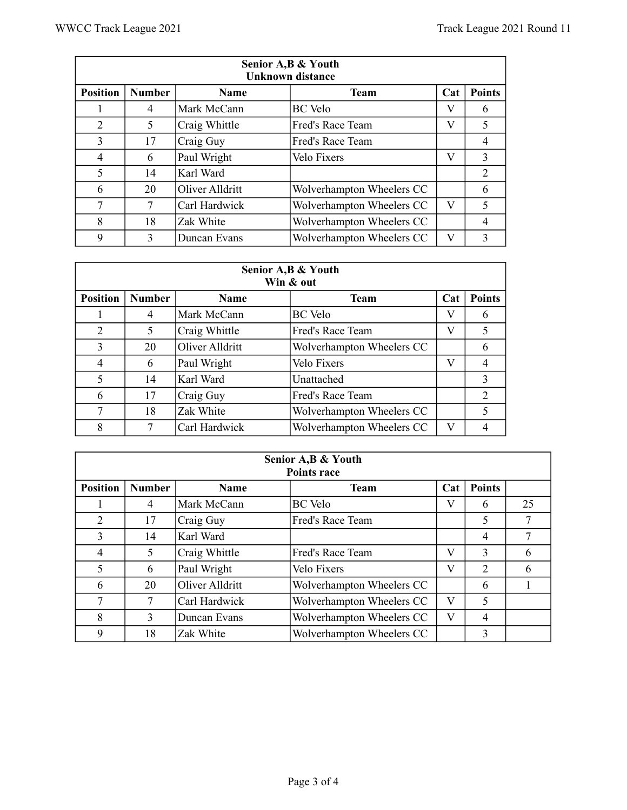|                 | Senior A, B & Youth<br><b>Unknown distance</b> |                 |                           |     |                |  |  |  |  |
|-----------------|------------------------------------------------|-----------------|---------------------------|-----|----------------|--|--|--|--|
| <b>Position</b> | <b>Number</b>                                  | <b>Name</b>     | <b>Team</b>               | Cat | <b>Points</b>  |  |  |  |  |
|                 | 4                                              | Mark McCann     | <b>BC</b> Velo            | V   | 6              |  |  |  |  |
| $\overline{2}$  | 5                                              | Craig Whittle   | Fred's Race Team          | V   | 5              |  |  |  |  |
| 3               | 17                                             | Craig Guy       | Fred's Race Team          |     | 4              |  |  |  |  |
| 4               | 6                                              | Paul Wright     | Velo Fixers               | V   | 3              |  |  |  |  |
| 5               | 14                                             | Karl Ward       |                           |     | $\overline{2}$ |  |  |  |  |
| 6               | 20                                             | Oliver Alldritt | Wolverhampton Wheelers CC |     | 6              |  |  |  |  |
| 7               | 7                                              | Carl Hardwick   | Wolverhampton Wheelers CC | V   | 5              |  |  |  |  |
| 8               | 18                                             | Zak White       | Wolverhampton Wheelers CC |     | 4              |  |  |  |  |
| 9               | 3                                              | Duncan Evans    | Wolverhampton Wheelers CC | V   | 3              |  |  |  |  |

|                 | Senior A, B & Youth<br>Win & out |                 |                           |     |                |  |  |  |  |
|-----------------|----------------------------------|-----------------|---------------------------|-----|----------------|--|--|--|--|
| <b>Position</b> | <b>Number</b>                    | <b>Name</b>     | <b>Team</b>               | Cat | <b>Points</b>  |  |  |  |  |
|                 | 4                                | Mark McCann     | <b>BC</b> Velo            | V   | 6              |  |  |  |  |
| $\overline{2}$  | 5                                | Craig Whittle   | Fred's Race Team          | V   | 5              |  |  |  |  |
| 3               | 20                               | Oliver Alldritt | Wolverhampton Wheelers CC |     | 6              |  |  |  |  |
| 4               | 6                                | Paul Wright     | Velo Fixers               | V   | $\overline{4}$ |  |  |  |  |
| 5               | 14                               | Karl Ward       | Unattached                |     | 3              |  |  |  |  |
| 6               | 17                               | Craig Guy       | Fred's Race Team          |     | 2              |  |  |  |  |
| 7               | 18                               | Zak White       | Wolverhampton Wheelers CC |     | 5              |  |  |  |  |
| 8               |                                  | Carl Hardwick   | Wolverhampton Wheelers CC | V   |                |  |  |  |  |

| Senior A, B & Youth<br><b>Points race</b> |                                                                     |                 |                           |   |   |    |  |  |
|-------------------------------------------|---------------------------------------------------------------------|-----------------|---------------------------|---|---|----|--|--|
| <b>Position</b>                           | <b>Points</b><br><b>Number</b><br><b>Team</b><br>Cat<br><b>Name</b> |                 |                           |   |   |    |  |  |
|                                           | 4                                                                   | Mark McCann     | <b>BC</b> Velo            | V | 6 | 25 |  |  |
| 2                                         | 17                                                                  | Craig Guy       | Fred's Race Team          |   | 5 |    |  |  |
| 3                                         | 14                                                                  | Karl Ward       |                           |   | 4 |    |  |  |
| 4                                         | 5                                                                   | Craig Whittle   | Fred's Race Team          | V | 3 | 6  |  |  |
| 5                                         | 6                                                                   | Paul Wright     | Velo Fixers               | V | 2 | 6  |  |  |
| 6                                         | 20                                                                  | Oliver Alldritt | Wolverhampton Wheelers CC |   | 6 |    |  |  |
| 7                                         |                                                                     | Carl Hardwick   | Wolverhampton Wheelers CC | V | 5 |    |  |  |
| 8                                         | 3                                                                   | Duncan Evans    | Wolverhampton Wheelers CC | V | 4 |    |  |  |
| 9                                         | 18                                                                  | Zak White       | Wolverhampton Wheelers CC |   | 3 |    |  |  |